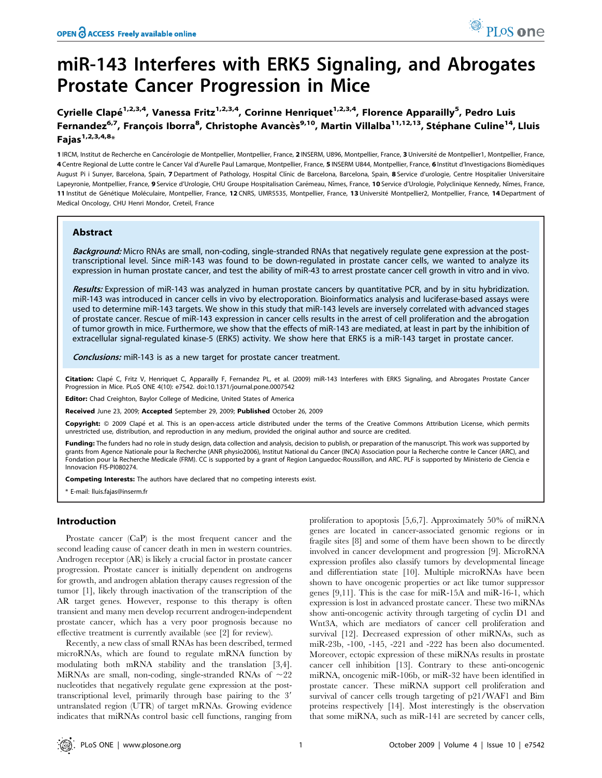# miR-143 Interferes with ERK5 Signaling, and Abrogates Prostate Cancer Progression in Mice

Cyrielle Clapé<sup>1,2,3,4</sup>, Vanessa Fritz<sup>1,2,3,4</sup>, Corinne Henriquet<sup>1,2,3,4</sup>, Florence Apparailly<sup>5</sup>, Pedro Luis Fernandez<sup>6,7</sup>, François Iborra<sup>8</sup>, Christophe Avancès<sup>9,10</sup>, Martin Villalba<sup>11,12,13</sup>, Stéphane Culine<sup>14</sup>, Lluis Fajas<sup>1,2,3,4,8</sup>\*

1 IRCM, Institut de Recherche en Cancérologie de Montpellier, Montpellier, France, 2 INSERM, U896, Montpellier, France, 3 Université de Montpellier1, Montpellier, France, 4 Centre Regional de Lutte contre le Cancer Val d'Aurelle Paul Lamarque, Montpellier, France, 5 INSERM U844, Montpellier, France, 6 Institut d'Investigacions Biomèdiques August Pi i Sunyer, Barcelona, Spain, 7 Department of Pathology, Hospital Clínic de Barcelona, Barcelona, Spain, 8 Service d'urologie, Centre Hospitalier Universitaire Lapeyronie, Montpellier, France, 9 Service d'Urologie, CHU Groupe Hospitalisation Carémeau, Nîmes, France, 10 Service d'Urologie, Polyclinique Kennedy, Nîmes, France, 11 Institut de Génétique Moléculaire, Montpellier, France, 12 CNRS, UMR5535, Montpellier, France, 13 Université Montpellier2, Montpellier, France, 14 Department of Medical Oncology, CHU Henri Mondor, Creteil, France

# Abstract

Background: Micro RNAs are small, non-coding, single-stranded RNAs that negatively regulate gene expression at the posttranscriptional level. Since miR-143 was found to be down-regulated in prostate cancer cells, we wanted to analyze its expression in human prostate cancer, and test the ability of miR-43 to arrest prostate cancer cell growth in vitro and in vivo.

Results: Expression of miR-143 was analyzed in human prostate cancers by quantitative PCR, and by in situ hybridization. miR-143 was introduced in cancer cells in vivo by electroporation. Bioinformatics analysis and luciferase-based assays were used to determine miR-143 targets. We show in this study that miR-143 levels are inversely correlated with advanced stages of prostate cancer. Rescue of miR-143 expression in cancer cells results in the arrest of cell proliferation and the abrogation of tumor growth in mice. Furthermore, we show that the effects of miR-143 are mediated, at least in part by the inhibition of extracellular signal-regulated kinase-5 (ERK5) activity. We show here that ERK5 is a miR-143 target in prostate cancer.

**Conclusions:** miR-143 is as a new target for prostate cancer treatment.

Citation: Clapé C, Fritz V, Henriquet C, Apparailly F, Fernandez PL, et al. (2009) miR-143 Interferes with ERK5 Signaling, and Abrogates Prostate Cancer Progression in Mice. PLoS ONE 4(10): e7542. doi:10.1371/journal.pone.0007542

ditor: Chad Creighton, Baylor College of Medicine, United States of America

Received June 23, 2009; Accepted September 29, 2009; Published October 26, 2009

Copyright: @ 2009 Clapé et al. This is an open-access article distributed under the terms of the Creative Commons Attribution License, which permits unrestricted use, distribution, and reproduction in any medium, provided the original author and source are credited.

Funding: The funders had no role in study design, data collection and analysis, decision to publish, or preparation of the manuscript. This work was supported by grants from Agence Nationale pour la Recherche (ANR physio2006), Institut National du Cancer (INCA) Association pour la Recherche contre le Cancer (ARC), and Fondation pour la Recherche Medicale (FRM). CC is supported by a grant of Region Languedoc-Roussillon, and ARC. PLF is supported by Ministerio de Ciencia e Innovacion FIS-PI080274.

Competing Interests: The authors have declared that no competing interests exist.

\* E-mail: lluis.fajas@inserm.fr

# Introduction

Prostate cancer (CaP) is the most frequent cancer and the second leading cause of cancer death in men in western countries. Androgen receptor (AR) is likely a crucial factor in prostate cancer progression. Prostate cancer is initially dependent on androgens for growth, and androgen ablation therapy causes regression of the tumor [1], likely through inactivation of the transcription of the AR target genes. However, response to this therapy is often transient and many men develop recurrent androgen-independent prostate cancer, which has a very poor prognosis because no effective treatment is currently available (see [2] for review).

Recently, a new class of small RNAs has been described, termed microRNAs, which are found to regulate mRNA function by modulating both mRNA stability and the translation [3,4]. MiRNAs are small, non-coding, single-stranded RNAs of  $\sim$ 22 nucleotides that negatively regulate gene expression at the posttranscriptional level, primarily through base pairing to the 3' untranslated region (UTR) of target mRNAs. Growing evidence indicates that miRNAs control basic cell functions, ranging from

proliferation to apoptosis [5,6,7]. Approximately 50% of miRNA genes are located in cancer-associated genomic regions or in fragile sites [8] and some of them have been shown to be directly involved in cancer development and progression [9]. MicroRNA expression profiles also classify tumors by developmental lineage and differentiation state [10]. Multiple microRNAs have been shown to have oncogenic properties or act like tumor suppressor genes [9,11]. This is the case for miR-15A and miR-16-1, which expression is lost in advanced prostate cancer. These two miRNAs show anti-oncogenic activity through targeting of cyclin D1 and Wnt3A, which are mediators of cancer cell proliferation and survival [12]. Decreased expression of other miRNAs, such as miR-23b, -100, -145, -221 and -222 has been also documented. Moreover, ectopic expression of these miRNAs results in prostate cancer cell inhibition [13]. Contrary to these anti-oncogenic miRNA, oncogenic miR-106b, or miR-32 have been identified in prostate cancer. These miRNA support cell proliferation and survival of cancer cells trough targeting of p21/WAF1 and Bim proteins respectively [14]. Most interestingly is the observation that some miRNA, such as miR-141 are secreted by cancer cells,

PLoS one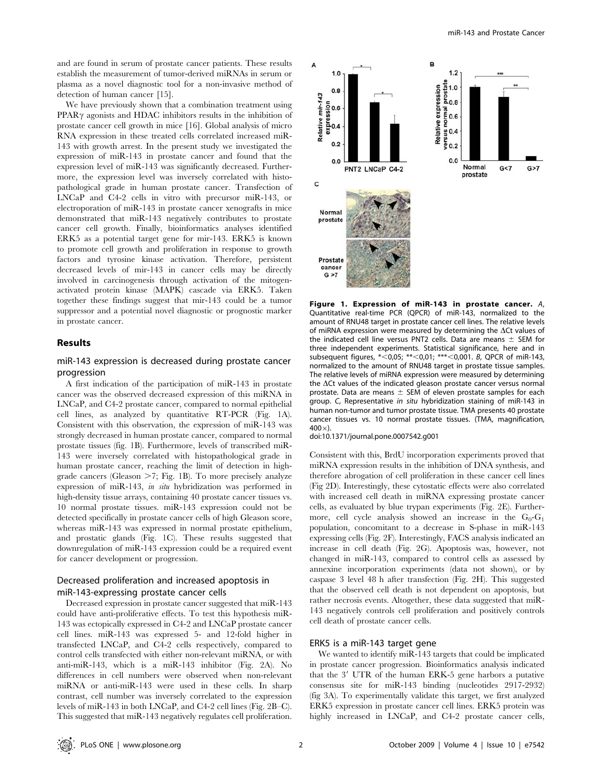and are found in serum of prostate cancer patients. These results establish the measurement of tumor-derived miRNAs in serum or plasma as a novel diagnostic tool for a non-invasive method of detection of human cancer [15].

We have previously shown that a combination treatment using PPAR<sub>Y</sub> agonists and HDAC inhibitors results in the inhibition of prostate cancer cell growth in mice [16]. Global analysis of micro RNA expression in these treated cells correlated increased miR-143 with growth arrest. In the present study we investigated the expression of miR-143 in prostate cancer and found that the expression level of miR-143 was significantly decreased. Furthermore, the expression level was inversely correlated with histopathological grade in human prostate cancer. Transfection of LNCaP and C4-2 cells in vitro with precursor miR-143, or electroporation of miR-143 in prostate cancer xenografts in mice demonstrated that miR-143 negatively contributes to prostate cancer cell growth. Finally, bioinformatics analyses identified ERK5 as a potential target gene for mir-143. ERK5 is known to promote cell growth and proliferation in response to growth factors and tyrosine kinase activation. Therefore, persistent decreased levels of mir-143 in cancer cells may be directly involved in carcinogenesis through activation of the mitogenactivated protein kinase (MAPK) cascade via ERK5. Taken together these findings suggest that mir-143 could be a tumor suppressor and a potential novel diagnostic or prognostic marker in prostate cancer.

# Results

# miR-143 expression is decreased during prostate cancer progression

A first indication of the participation of miR-143 in prostate cancer was the observed decreased expression of this miRNA in LNCaP, and C4-2 prostate cancer, compared to normal epithelial cell lines, as analyzed by quantitative RT-PCR (Fig. 1A). Consistent with this observation, the expression of miR-143 was strongly decreased in human prostate cancer, compared to normal prostate tissues (fig. 1B). Furthermore, levels of transcribed miR-143 were inversely correlated with histopathological grade in human prostate cancer, reaching the limit of detection in highgrade cancers (Gleason  $>7$ ; Fig. 1B). To more precisely analyze expression of miR-143, in situ hybridization was performed in high-density tissue arrays, containing 40 prostate cancer tissues vs. 10 normal prostate tissues. miR-143 expression could not be detected specifically in prostate cancer cells of high Gleason score, whereas miR-143 was expressed in normal prostate epithelium, and prostatic glands (Fig. 1C). These results suggested that downregulation of miR-143 expression could be a required event for cancer development or progression.

# Decreased proliferation and increased apoptosis in miR-143-expressing prostate cancer cells

Decreased expression in prostate cancer suggested that miR-143 could have anti-proliferative effects. To test this hypothesis miR-143 was ectopically expressed in C4-2 and LNCaP prostate cancer cell lines. miR-143 was expressed 5- and 12-fold higher in transfected LNCaP, and C4-2 cells respectively, compared to control cells transfected with either non-relevant miRNA, or with anti-miR-143, which is a miR-143 inhibitor (Fig. 2A). No differences in cell numbers were observed when non-relevant miRNA or anti-miR-143 were used in these cells. In sharp contrast, cell number was inversely correlated to the expression levels of miR-143 in both LNCaP, and C4-2 cell lines (Fig. 2B–C). This suggested that miR-143 negatively regulates cell proliferation.



Figure 1. Expression of miR-143 in prostate cancer. A, Quantitative real-time PCR (QPCR) of miR-143, normalized to the amount of RNU48 target in prostate cancer cell lines. The relative levels of miRNA expression were measured by determining the  $\Delta$ Ct values of the indicated cell line versus PNT2 cells. Data are means  $\pm$  SEM for three independent experiments. Statistical significance, here and in subsequent figures, \*<0,05; \*\*<0,01; \*\*\*<0,001. B, QPCR of miR-143, normalized to the amount of RNU48 target in prostate tissue samples. The relative levels of miRNA expression were measured by determining the  $\Delta$ Ct values of the indicated gleason prostate cancer versus normal prostate. Data are means  $\pm$  SEM of eleven prostate samples for each group. C, Representative in situ hybridization staining of miR-143 in human non-tumor and tumor prostate tissue. TMA presents 40 prostate cancer tissues vs. 10 normal prostate tissues. (TMA, magnification,  $400 \times$ ).

doi:10.1371/journal.pone.0007542.g001

Consistent with this, BrdU incorporation experiments proved that miRNA expression results in the inhibition of DNA synthesis, and therefore abrogation of cell proliferation in these cancer cell lines (Fig 2D). Interestingly, these cytostatic effects were also correlated with increased cell death in miRNA expressing prostate cancer cells, as evaluated by blue trypan experiments (Fig. 2E). Furthermore, cell cycle analysis showed an increase in the  $G_0-G_1$ population, concomitant to a decrease in S-phase in miR-143 expressing cells (Fig. 2F). Interestingly, FACS analysis indicated an increase in cell death (Fig. 2G). Apoptosis was, however, not changed in miR-143, compared to control cells as assessed by annexine incorporation experiments (data not shown), or by caspase 3 level 48 h after transfection (Fig. 2H). This suggested that the observed cell death is not dependent on apoptosis, but rather necrosis events. Altogether, these data suggested that miR-143 negatively controls cell proliferation and positively controls cell death of prostate cancer cells.

## ERK5 is a miR-143 target gene

We wanted to identify miR-143 targets that could be implicated in prostate cancer progression. Bioinformatics analysis indicated that the 3' UTR of the human ERK-5 gene harbors a putative consensus site for miR-143 binding (nucleotides 2917-2932) (fig 3A). To experimentally validate this target, we first analyzed ERK5 expression in prostate cancer cell lines. ERK5 protein was highly increased in LNCaP, and C4-2 prostate cancer cells,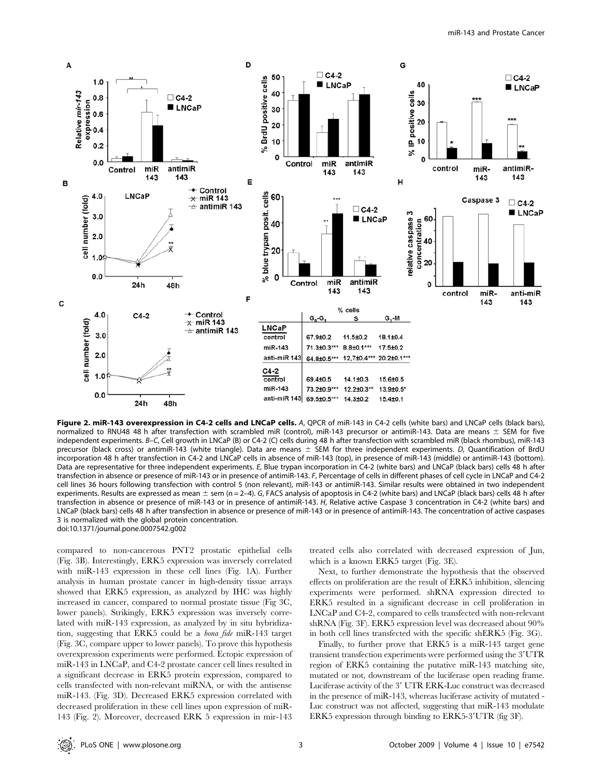

Figure 2. miR-143 overexpression in C4-2 cells and LNCaP cells. A, QPCR of miR-143 in C4-2 cells (white bars) and LNCaP cells (black bars), normalized to RNU48 48 h after transfection with scrambled miR (control), miR-143 precursor or antimiR-143. Data are means  $\pm$  SEM for five independent experiments. B–C, Cell growth in LNCaP (B) or C4-2 (C) cells during 48 h after transfection with scrambled miR (black rhombus), miR-143 precursor (black cross) or antimiR-143 (white triangle). Data are means  $\pm$  SEM for three independent experiments. D, Quantification of BrdU incorporation 48 h after transfection in C4-2 and LNCaP cells in absence of miR-143 (top), in presence of miR-143 (middle) or antimiR-143 (bottom). Data are representative for three independent experiments. E, Blue trypan incorporation in C4-2 (white bars) and LNCaP (black bars) cells 48 h after transfection in absence or presence of miR-143 or in presence of antimiR-143. F, Percentage of cells in different phases of cell cycle in LNCaP and C4-2 cell lines 36 hours following transfection with control 5 (non relevant), miR-143 or antimiR-143. Similar results were obtained in two independent experiments. Results are expressed as mean  $\pm$  sem (n = 2–4). G, FACS analysis of apoptosis in C4-2 (white bars) and LNCaP (black bars) cells 48 h after transfection in absence or presence of miR-143 or in presence of antimiR-143. H, Relative active Caspase 3 concentration in C4-2 (white bars) and LNCaP (black bars) cells 48 h after transfection in absence or presence of miR-143 or in presence of antimiR-143. The concentration of active caspases 3 is normalized with the global protein concentration. doi:10.1371/journal.pone.0007542.g002

compared to non-cancerous PNT2 prostatic epithelial cells (Fig. 3B). Interestingly, ERK5 expression was inversely correlated with miR-143 expression in these cell lines (Fig. 1A). Further analysis in human prostate cancer in high-density tissue arrays showed that ERK5 expression, as analyzed by IHC was highly increased in cancer, compared to normal prostate tissue (Fig 3C, lower panels). Strikingly, ERK5 expression was inversely correlated with miR-143 expression, as analyzed by in situ hybridization, suggesting that ERK5 could be a bona fide miR-143 target (Fig. 3C, compare upper to lower panels). To prove this hypothesis overexpression experiments were performed. Ectopic expression of miR-143 in LNCaP, and C4-2 prostate cancer cell lines resulted in a significant decrease in ERK5 protein expression, compared to cells transfected with non-relevant miRNA, or with the antisense miR-143. (Fig. 3D). Decreased ERK5 expression correlated with decreased proliferation in these cell lines upon expression of miR-143 (Fig. 2). Moreover, decreased ERK 5 expression in mir-143

treated cells also correlated with decreased expression of Jun, which is a known ERK5 target (Fig. 3E).

Next, to further demonstrate the hypothesis that the observed effects on proliferation are the result of ERK5 inhibition, silencing experiments were performed. shRNA expression directed to ERK5 resulted in a significant decrease in cell proliferation in LNCaP and C4-2, compared to cells transfected with non-relevant shRNA (Fig. 3F). ERK5 expression level was decreased about 90% in both cell lines transfected with the specific shERK5 (Fig. 3G).

Finally, to further prove that ERK5 is a miR-143 target gene transient transfection experiments were performed using the 3'UTR region of ERK5 containing the putative miR-143 matching site, mutated or not, downstream of the luciferase open reading frame. Luciferase activity of the 3' UTR ERK-Luc construct was decreased in the presence of miR-143, whereas luciferase activity of mutated - Luc construct was not affected, suggesting that miR-143 modulate ERK5 expression through binding to ERK5-3'UTR (fig 3F).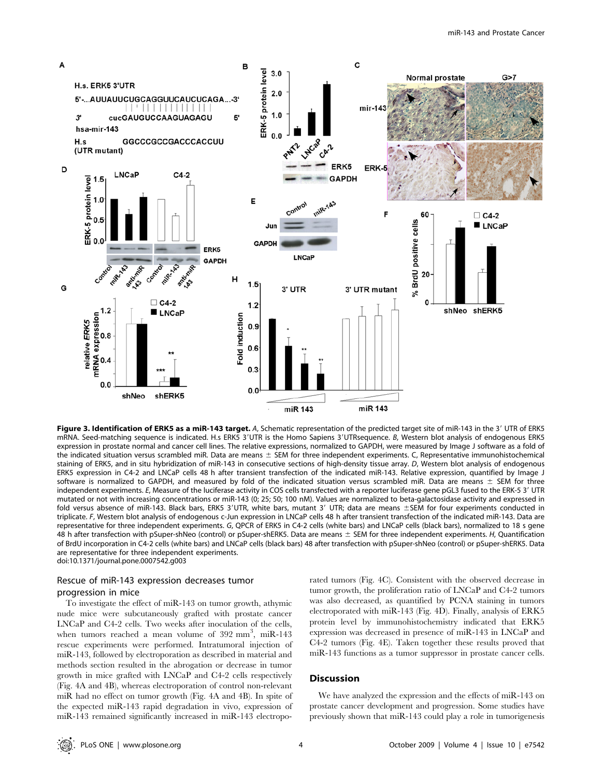

Figure 3. Identification of ERK5 as a miR-143 target. A, Schematic representation of the predicted target site of miR-143 in the 3' UTR of ERK5 mRNA. Seed-matching sequence is indicated. H.s ERK5 3'UTR is the Homo Sapiens 3'UTRsequence. B, Western blot analysis of endogenous ERK5 expression in prostate normal and cancer cell lines. The relative expressions, normalized to GAPDH, were measured by Image J software as a fold of the indicated situation versus scrambled miR. Data are means  $\pm$  SEM for three independent experiments. C, Representative immunohistochemical staining of ERK5, and in situ hybridization of miR-143 in consecutive sections of high-density tissue array. D, Western blot analysis of endogenous ERK5 expression in C4-2 and LNCaP cells 48 h after transient transfection of the indicated miR-143. Relative expression, quantified by Image J software is normalized to GAPDH, and measured by fold of the indicated situation versus scrambled miR. Data are means  $\pm$  SEM for three independent experiments. E, Measure of the luciferase activity in COS cells transfected with a reporter luciferase gene pGL3 fused to the ERK-5 3' UTR mutated or not with increasing concentrations or miR-143 (0; 25; 50; 100 nM). Values are normalized to beta-galactosidase activity and expressed in fold versus absence of miR-143. Black bars, ERK5 3'UTR, white bars, mutant 3' UTR; data are means ±SEM for four experiments conducted in triplicate. F, Western blot analysis of endogenous c-Jun expression in LNCaP cells 48 h after transient transfection of the indicated miR-143. Data are representative for three independent experiments. G, QPCR of ERK5 in C4-2 cells (white bars) and LNCaP cells (black bars), normalized to 18 s gene 48 h after transfection with pSuper-shNeo (control) or pSuper-shERK5. Data are means  $\pm$  SEM for three independent experiments. H, Quantification of BrdU incorporation in C4-2 cells (white bars) and LNCaP cells (black bars) 48 after transfection with pSuper-shNeo (control) or pSuper-shERK5. Data are representative for three independent experiments. doi:10.1371/journal.pone.0007542.g003

# Rescue of miR-143 expression decreases tumor progression in mice

To investigate the effect of miR-143 on tumor growth, athymic nude mice were subcutaneously grafted with prostate cancer LNCaP and C4-2 cells. Two weeks after inoculation of the cells, when tumors reached a mean volume of  $392 \text{ mm}^3$ , miR-143 rescue experiments were performed. Intratumoral injection of miR-143, followed by electroporation as described in material and methods section resulted in the abrogation or decrease in tumor growth in mice grafted with LNCaP and C4-2 cells respectively (Fig. 4A and 4B), whereas electroporation of control non-relevant miR had no effect on tumor growth (Fig. 4A and 4B). In spite of the expected miR-143 rapid degradation in vivo, expression of miR-143 remained significantly increased in miR-143 electroporated tumors (Fig. 4C). Consistent with the observed decrease in tumor growth, the proliferation ratio of LNCaP and C4-2 tumors was also decreased, as quantified by PCNA staining in tumors electroporated with miR-143 (Fig. 4D). Finally, analysis of ERK5 protein level by immunohistochemistry indicated that ERK5 expression was decreased in presence of miR-143 in LNCaP and C4-2 tumors (Fig. 4E). Taken together these results proved that miR-143 functions as a tumor suppressor in prostate cancer cells.

## Discussion

We have analyzed the expression and the effects of miR-143 on prostate cancer development and progression. Some studies have previously shown that miR-143 could play a role in tumorigenesis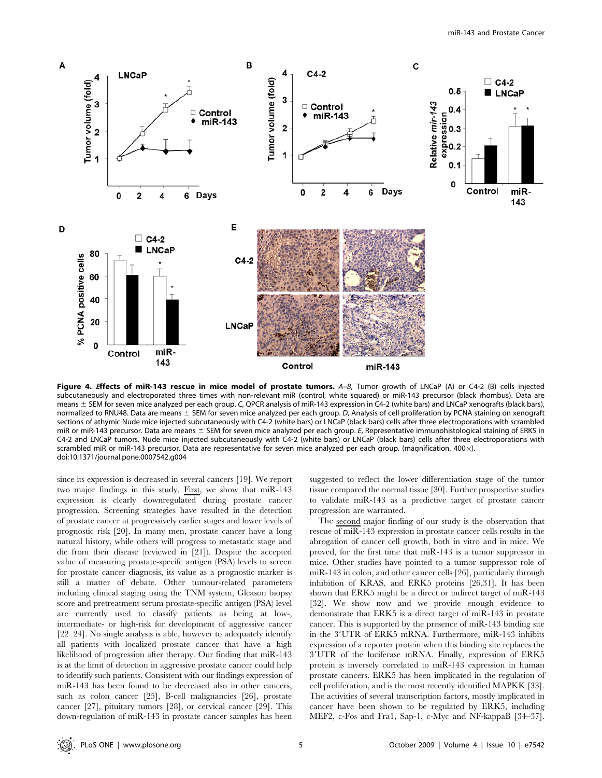

Figure 4. Effects of miR-143 rescue in mice model of prostate tumors. A-B, Tumor growth of LNCaP (A) or C4-2 (B) cells injected subcutaneously and electroporated three times with non-relevant miR (control, white squared) or miR-143 precursor (black rhombus). Data are means  $\pm$  SEM for seven mice analyzed per each group. C, QPCR analysis of miR-143 expression in C4-2 (white bars) and LNCaP xenografts (black bars), normalized to RNU48. Data are means  $\pm$  SEM for seven mice analyzed per each group. D, Analysis of cell proliferation by PCNA staining on xenograft sections of athymic Nude mice injected subcutaneously with C4-2 (white bars) or LNCaP (black bars) cells after three electroporations with scrambled miR or miR-143 precursor. Data are means  $\pm$  SEM for seven mice analyzed per each group. E, Representative immunohistological staining of ERK5 in C4-2 and LNCaP tumors. Nude mice injected subcutaneously with C4-2 (white bars) or LNCaP (black bars) cells after three electroporations with scrambled miR or miR-143 precursor. Data are representative for seven mice analyzed per each group. (magnification, 400 $\times$ ). doi:10.1371/journal.pone.0007542.g004

since its expression is decreased in several cancers [19]. We report two major findings in this study. First, we show that miR-143 expression is clearly downregulated during prostate cancer progression. Screening strategies have resulted in the detection of prostate cancer at progressively earlier stages and lower levels of prognostic risk [20]. In many men, prostate cancer have a long natural history, while others will progress to metastatic stage and die from their disease (reviewed in [21]). Despite the accepted value of measuring prostate-specifc antigen (PSA) levels to screen for prostate cancer diagnosis, its value as a prognostic marker is still a matter of debate. Other tumour-related parameters including clinical staging using the TNM system, Gleason biopsy score and pretreatment serum prostate-specific antigen (PSA) level are currently used to classify patients as being at low-, intermediate- or high-risk for development of aggressive cancer [22–24]. No single analysis is able, however to adequately identify all patients with localized prostate cancer that have a high likelihood of progression after therapy. Our finding that miR-143 is at the limit of detection in aggressive prostate cancer could help to identify such patients. Consistent with our findings expression of miR-143 has been found to be decreased also in other cancers, such as colon cancer [25], B-cell malignancies [26], prostate cancer [27], pituitary tumors [28], or cervical cancer [29]. This down-regulation of miR-143 in prostate cancer samples has been suggested to reflect the lower differentiation stage of the tumor tissue compared the normal tissue [30]. Further prospective studies to validate miR-143 as a predictive target of prostate cancer progression are warranted.

The second major finding of our study is the observation that rescue of miR-143 expression in prostate cancer cells results in the abrogation of cancer cell growth, both in vitro and in mice. We proved, for the first time that miR-143 is a tumor suppressor in mice. Other studies have pointed to a tumor suppressor role of miR-143 in colon, and other cancer cells [26], particularly through inhibition of KRAS, and ERK5 proteins [26,31]. It has been shown that ERK5 might be a direct or indirect target of miR-143 [32]. We show now and we provide enough evidence to demonstrate that ERK5 is a direct target of miR-143 in prostate cancer. This is supported by the presence of miR-143 binding site in the 3'UTR of ERK5 mRNA. Furthermore, miR-143 inhibits expression of a reporter protein when this binding site replaces the 3'UTR of the luciferase mRNA. Finally, expression of ERK5 protein is inversely correlated to miR-143 expression in human prostate cancers. ERK5 has been implicated in the regulation of cell proliferation, and is the most recently identified MAPKK [33]. The activities of several transcription factors, mostly implicated in cancer have been shown to be regulated by ERK5, including MEF2, c-Fos and Fra1, Sap-1, c-Myc and NF-kappaB [34–37].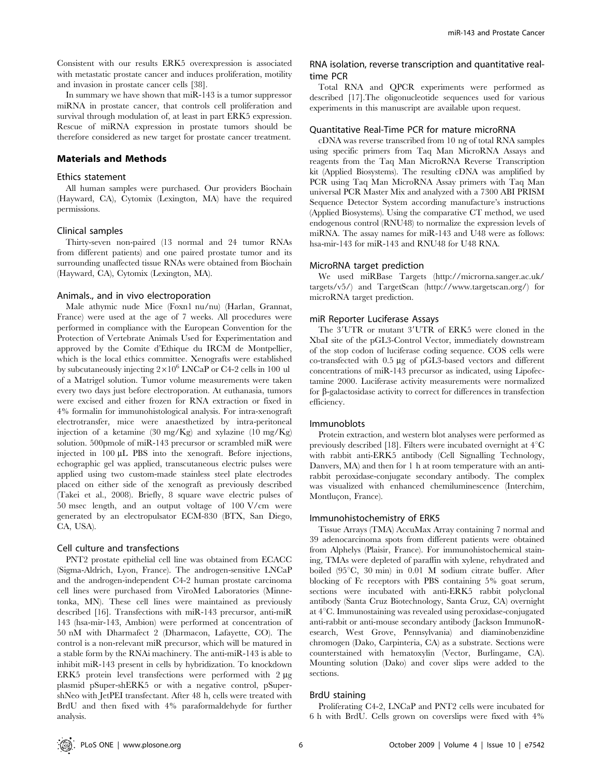Consistent with our results ERK5 overexpression is associated with metastatic prostate cancer and induces proliferation, motility and invasion in prostate cancer cells [38].

In summary we have shown that miR-143 is a tumor suppressor miRNA in prostate cancer, that controls cell proliferation and survival through modulation of, at least in part ERK5 expression. Rescue of miRNA expression in prostate tumors should be therefore considered as new target for prostate cancer treatment.

# Materials and Methods

## Ethics statement

All human samples were purchased. Our providers Biochain (Hayward, CA), Cytomix (Lexington, MA) have the required permissions.

## Clinical samples

Thirty-seven non-paired (13 normal and 24 tumor RNAs from different patients) and one paired prostate tumor and its surrounding unaffected tissue RNAs were obtained from Biochain (Hayward, CA), Cytomix (Lexington, MA).

## Animals., and in vivo electroporation

Male athymic nude Mice (Foxn1 nu/nu) (Harlan, Grannat, France) were used at the age of 7 weeks. All procedures were performed in compliance with the European Convention for the Protection of Vertebrate Animals Used for Experimentation and approved by the Comite d'Ethique du IRCM de Montpellier, which is the local ethics committee. Xenografts were established by subcutaneously injecting  $2\times10^6$  LNCaP or C4-2 cells in 100 ul of a Matrigel solution. Tumor volume measurements were taken every two days just before electroporation. At euthanasia, tumors were excised and either frozen for RNA extraction or fixed in 4% formalin for immunohistological analysis. For intra-xenograft electrotransfer, mice were anaesthetized by intra-peritoneal injection of a ketamine  $(30 \text{ mg/Kg})$  and xylazine  $(10 \text{ mg/Kg})$ solution. 500pmole of miR-143 precursor or scrambled miR were injected in 100 µL PBS into the xenograft. Before injections, echographic gel was applied, transcutaneous electric pulses were applied using two custom-made stainless steel plate electrodes placed on either side of the xenograft as previously described (Takei et al., 2008). Briefly, 8 square wave electric pulses of 50 msec length, and an output voltage of 100 V/cm were generated by an electropulsator ECM-830 (BTX, San Diego, CA, USA).

## Cell culture and transfections

PNT2 prostate epithelial cell line was obtained from ECACC (Sigma-Aldrich, Lyon, France). The androgen-sensitive LNCaP and the androgen-independent C4-2 human prostate carcinoma cell lines were purchased from ViroMed Laboratories (Minnetonka, MN). These cell lines were maintained as previously described [16]. Transfections with miR-143 precursor, anti-miR 143 (hsa-mir-143, Ambion) were performed at concentration of 50 nM with Dharmafect 2 (Dharmacon, Lafayette, CO). The control is a non-relevant miR precursor, which will be matured in a stable form by the RNAi machinery. The anti-miR-143 is able to inhibit miR-143 present in cells by hybridization. To knockdown ERK5 protein level transfections were performed with  $2 \mu$ g plasmid pSuper-shERK5 or with a negative control, pSupershNeo with JetPEI transfectant. After 48 h, cells were treated with BrdU and then fixed with 4% paraformaldehyde for further analysis.

# RNA isolation, reverse transcription and quantitative realtime PCR

Total RNA and QPCR experiments were performed as described [17].The oligonucleotide sequences used for various experiments in this manuscript are available upon request.

## Quantitative Real-Time PCR for mature microRNA

cDNA was reverse transcribed from 10 ng of total RNA samples using specific primers from Taq Man MicroRNA Assays and reagents from the Taq Man MicroRNA Reverse Transcription kit (Applied Biosystems). The resulting cDNA was amplified by PCR using Taq Man MicroRNA Assay primers with Taq Man universal PCR Master Mix and analyzed with a 7300 ABI PRISM Sequence Detector System according manufacture's instructions (Applied Biosystems). Using the comparative CT method, we used endogenous control (RNU48) to normalize the expression levels of miRNA. The assay names for miR-143 and U48 were as follows: hsa-mir-143 for miR-143 and RNU48 for U48 RNA.

# MicroRNA target prediction

We used miRBase Targets (http://microrna.sanger.ac.uk/ targets/v5/) and TargetScan (http://www.targetscan.org/) for microRNA target prediction.

#### miR Reporter Luciferase Assays

The 3'UTR or mutant 3'UTR of ERK5 were cloned in the XbaI site of the pGL3-Control Vector, immediately downstream of the stop codon of luciferase coding sequence. COS cells were co-transfected with 0.5 mg of pGL3-based vectors and different concentrations of miR-143 precursor as indicated, using Lipofectamine 2000. Luciferase activity measurements were normalized for  $\beta$ -galactosidase activity to correct for differences in transfection efficiency.

# Immunoblots

Protein extraction, and western blot analyses were performed as previously described [18]. Filters were incubated overnight at  $4^{\circ}$ C with rabbit anti-ERK5 antibody (Cell Signalling Technology, Danvers, MA) and then for 1 h at room temperature with an antirabbit peroxidase-conjugate secondary antibody. The complex was visualized with enhanced chemiluminescence (Interchim, Montluçon, France).

#### Immunohistochemistry of ERK5

Tissue Arrays (TMA) AccuMax Array containing 7 normal and 39 adenocarcinoma spots from different patients were obtained from Alphelys (Plaisir, France). For immunohistochemical staining, TMAs were depleted of paraffin with xylene, rehydrated and boiled  $(95^{\circ}C, 30 \text{ min})$  in 0.01 M sodium citrate buffer. After blocking of Fc receptors with PBS containing 5% goat serum, sections were incubated with anti-ERK5 rabbit polyclonal antibody (Santa Cruz Biotechnology, Santa Cruz, CA) overnight at  $4^{\circ}$ C. Immunostaining was revealed using peroxidase-conjugated anti-rabbit or anti-mouse secondary antibody (Jackson ImmunoResearch, West Grove, Pennsylvania) and diaminobenzidine chromogen (Dako, Carpinteria, CA) as a substrate. Sections were counterstained with hematoxylin (Vector, Burlingame, CA). Mounting solution (Dako) and cover slips were added to the sections.

## BrdU staining

Proliferating C4-2, LNCaP and PNT2 cells were incubated for 6 h with BrdU. Cells grown on coverslips were fixed with 4%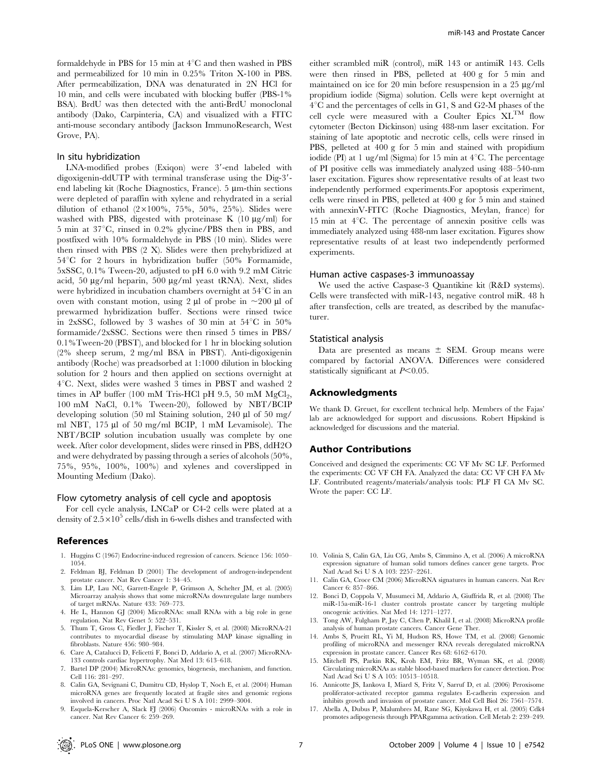formaldehyde in PBS for 15 min at  $4^{\circ}$ C and then washed in PBS and permeabilized for 10 min in 0.25% Triton X-100 in PBS. After permeabilization, DNA was denaturated in 2N HCl for 10 min, and cells were incubated with blocking buffer (PBS-1% BSA). BrdU was then detected with the anti-BrdU monoclonal antibody (Dako, Carpinteria, CA) and visualized with a FITC anti-mouse secondary antibody (Jackson ImmunoResearch, West Grove, PA).

### In situ hybridization

 $LNA$ -modified probes  $(Exigon)$  were  $3'$ -end labeled with digoxigenin-ddUTP with terminal transferase using the Dig-3'end labeling kit (Roche Diagnostics, France).  $5 \mu m$ -thin sections were depleted of paraffin with xylene and rehydrated in a serial dilution of ethanol  $(2 \times 100\%, 75\%, 50\%, 25\%)$ . Slides were washed with PBS, digested with proteinase K  $(10 \mu g/ml)$  for 5 min at  $37^{\circ}$ C, rinsed in 0.2% glycine/PBS then in PBS, and postfixed with 10% formaldehyde in PBS (10 min). Slides were then rinsed with PBS (2 X). Slides were then prehybridized at  $54^{\circ}$ C for 2 hours in hybridization buffer (50% Formamide, 5xSSC, 0.1% Tween-20, adjusted to pH 6.0 with 9.2 mM Citric acid, 50 µg/ml heparin, 500 µg/ml yeast tRNA). Next, slides were hybridized in incubation chambers overnight at  $54^{\circ}$ C in an oven with constant motion, using 2  $\mu$ l of probe in  $\sim$ 200  $\mu$ l of prewarmed hybridization buffer. Sections were rinsed twice in 2xSSC, followed by 3 washes of 30 min at  $54^{\circ}$ C in  $50\%$ formamide/2xSSC. Sections were then rinsed 5 times in PBS/ 0.1%Tween-20 (PBST), and blocked for 1 hr in blocking solution (2% sheep serum, 2 mg/ml BSA in PBST). Anti-digoxigenin antibody (Roche) was preadsorbed at 1:1000 dilution in blocking solution for 2 hours and then applied on sections overnight at  $4^{\circ}$ C. Next, slides were washed 3 times in PBST and washed 2 times in AP buffer (100 mM Tris-HCl pH 9.5, 50 mM  $MgCl<sub>2</sub>$ , 100 mM NaCl, 0.1% Tween-20), followed by NBT/BCIP developing solution (50 ml Staining solution, 240  $\mu$ l of 50 mg/ ml NBT, 175 µl of 50 mg/ml BCIP, 1 mM Levamisole). The NBT/BCIP solution incubation usually was complete by one week. After color development, slides were rinsed in PBS, ddH2O and were dehydrated by passing through a series of alcohols (50%, 75%, 95%, 100%, 100%) and xylenes and coverslipped in Mounting Medium (Dako).

# Flow cytometry analysis of cell cycle and apoptosis

For cell cycle analysis, LNCaP or C4-2 cells were plated at a density of  $2.5 \times 10^5$  cells/dish in 6-wells dishes and transfected with

## References

- 1. Huggins C (1967) Endocrine-induced regression of cancers. Science 156: 1050– 1054.
- 2. Feldman BJ, Feldman D (2001) The development of androgen-independent prostate cancer. Nat Rev Cancer 1: 34–45.
- 3. Lim LP, Lau NC, Garrett-Engele P, Grimson A, Schelter JM, et al. (2005) Microarray analysis shows that some microRNAs downregulate large numbers of target mRNAs. Nature 433: 769–773.
- 4. He L, Hannon GJ (2004) MicroRNAs: small RNAs with a big role in gene regulation. Nat Rev Genet 5: 522–531.
- 5. Thum T, Gross C, Fiedler J, Fischer T, Kissler S, et al. (2008) MicroRNA-21 contributes to myocardial disease by stimulating MAP kinase signalling in fibroblasts. Nature 456: 980–984.
- 6. Care A, Catalucci D, Felicetti F, Bonci D, Addario A, et al. (2007) MicroRNA-133 controls cardiac hypertrophy. Nat Med 13: 613–618.
- Bartel DP (2004) MicroRNAs: genomics, biogenesis, mechanism, and function. Cell 116: 281–297.
- 8. Calin GA, Sevignani C, Dumitru CD, Hyslop T, Noch E, et al. (2004) Human microRNA genes are frequently located at fragile sites and genomic regions involved in cancers. Proc Natl Acad Sci U S A 101: 2999–3004.
- 9. Esquela-Kerscher A, Slack FJ (2006) Oncomirs microRNAs with a role in cancer. Nat Rev Cancer 6: 259–269.

either scrambled miR (control), miR 143 or antimiR 143. Cells were then rinsed in PBS, pelleted at 400 g for 5 min and maintained on ice for 20 min before resuspension in a  $25 \mu g/ml$ propidium iodide (Sigma) solution. Cells were kept overnight at  $4^{\circ}$ C and the percentages of cells in G1, S and G2-M phases of the cell cycle were measured with a Coulter Epics XLTM flow cytometer (Becton Dickinson) using 488-nm laser excitation. For staining of late apoptotic and necrotic cells, cells were rinsed in PBS, pelleted at 400 g for 5 min and stained with propidium iodide (PI) at 1 ug/ml (Sigma) for 15 min at  $4^{\circ}$ C. The percentage of PI positive cells was immediately analyzed using 488–540-nm laser excitation. Figures show representative results of at least two independently performed experiments.For apoptosis experiment, cells were rinsed in PBS, pelleted at 400 g for 5 min and stained with annexinV-FITC (Roche Diagnostics, Meylan, france) for 15 min at  $4^{\circ}$ C. The percentage of annexin positive cells was immediately analyzed using 488-nm laser excitation. Figures show representative results of at least two independently performed experiments.

#### Human active caspases-3 immunoassay

We used the active Caspase-3 Quantikine kit (R&D systems). Cells were transfected with miR-143, negative control miR. 48 h after transfection, cells are treated, as described by the manufacturer.

#### Statistical analysis

Data are presented as means  $\pm$  SEM. Group means were compared by factorial ANOVA. Differences were considered statistically significant at  $P<0.05$ .

## Acknowledgments

We thank D. Greuet, for excellent technical help. Members of the Fajas' lab are acknowledged for support and discussions. Robert Hipskind is acknowledged for discussions and the material.

#### Author Contributions

Conceived and designed the experiments: CC VF Mv SC LF. Performed the experiments: CC VF CH FA. Analyzed the data: CC VF CH FA Mv LF. Contributed reagents/materials/analysis tools: PLF FI CA Mv SC. Wrote the paper: CC LF.

- 10. Volinia S, Calin GA, Liu CG, Ambs S, Cimmino A, et al. (2006) A microRNA expression signature of human solid tumors defines cancer gene targets. Proc Natl Acad Sci U S A 103: 2257–2261.
- 11. Calin GA, Croce CM (2006) MicroRNA signatures in human cancers. Nat Rev Cancer 6: 857–866.
- 12. Bonci D, Coppola V, Musumeci M, Addario A, Giuffrida R, et al. (2008) The miR-15a-miR-16-1 cluster controls prostate cancer by targeting multiple oncogenic activities. Nat Med 14: 1271–1277.
- 13. Tong AW, Fulgham P, Jay C, Chen P, Khalil I, et al. (2008) MicroRNA profile analysis of human prostate cancers. Cancer Gene Ther.
- 14. Ambs S, Prueitt RL, Yi M, Hudson RS, Howe TM, et al. (2008) Genomic profiling of microRNA and messenger RNA reveals deregulated microRNA expression in prostate cancer. Cancer Res 68: 6162–6170.
- 15. Mitchell PS, Parkin RK, Kroh EM, Fritz BR, Wyman SK, et al. (2008) Circulating microRNAs as stable blood-based markers for cancer detection. Proc Natl Acad Sci U S A 105: 10513–10518.
- 16. Annicotte JS, Iankova I, Miard S, Fritz V, Sarruf D, et al. (2006) Peroxisome proliferator-activated receptor gamma regulates E-cadherin expression and inhibits growth and invasion of prostate cancer. Mol Cell Biol 26: 7561–7574.
- 17. Abella A, Dubus P, Malumbres M, Rane SG, Kiyokawa H, et al. (2005) Cdk4 promotes adipogenesis through PPARgamma activation. Cell Metab 2: 239–249.